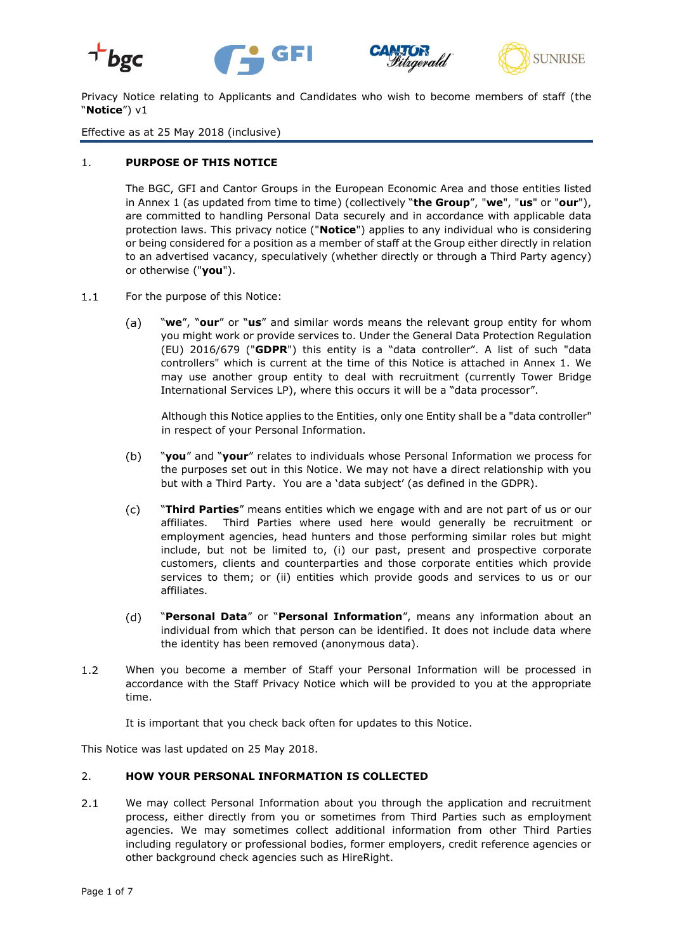





Privacy Notice relating to Applicants and Candidates who wish to become members of staff (the "**Notice**") v1

Effective as at 25 May 2018 (inclusive)

#### 1. **PURPOSE OF THIS NOTICE**

The BGC, GFI and Cantor Groups in the European Economic Area and those entities listed in Annex 1 (as updated from time to time) (collectively "**the Group**", "**we**", "**us**" or "**our**"), are committed to handling Personal Data securely and in accordance with applicable data protection laws. This privacy notice ("**Notice**") applies to any individual who is considering or being considered for a position as a member of staff at the Group either directly in relation to an advertised vacancy, speculatively (whether directly or through a Third Party agency) or otherwise ("**you**").

- For the purpose of this Notice:  $1.1$ 
	- $(a)$ "**we**", "**our**" or "**us**" and similar words means the relevant group entity for whom you might work or provide services to. Under the General Data Protection Regulation (EU) 2016/679 ("**GDPR**") this entity is a "data controller". A list of such "data controllers" which is current at the time of this Notice is attached in Annex 1. We may use another group entity to deal with recruitment (currently Tower Bridge International Services LP), where this occurs it will be a "data processor".

Although this Notice applies to the Entities, only one Entity shall be a "data controller" in respect of your Personal Information.

- $(b)$ "**you**" and "**your**" relates to individuals whose Personal Information we process for the purposes set out in this Notice. We may not have a direct relationship with you but with a Third Party. You are a 'data subject' (as defined in the GDPR).
- $(c)$ "**Third Parties**" means entities which we engage with and are not part of us or our affiliates. Third Parties where used here would generally be recruitment or employment agencies, head hunters and those performing similar roles but might include, but not be limited to, (i) our past, present and prospective corporate customers, clients and counterparties and those corporate entities which provide services to them; or (ii) entities which provide goods and services to us or our affiliates.
- "**Personal Data**" or "**Personal Information**", means any information about an  $(d)$ individual from which that person can be identified. It does not include data where the identity has been removed (anonymous data).
- $1.2$ When you become a member of Staff your Personal Information will be processed in accordance with the Staff Privacy Notice which will be provided to you at the appropriate time.

It is important that you check back often for updates to this Notice.

This Notice was last updated on 25 May 2018.

### 2. **HOW YOUR PERSONAL INFORMATION IS COLLECTED**

 $2.1$ We may collect Personal Information about you through the application and recruitment process, either directly from you or sometimes from Third Parties such as employment agencies. We may sometimes collect additional information from other Third Parties including regulatory or professional bodies, former employers, credit reference agencies or other background check agencies such as HireRight.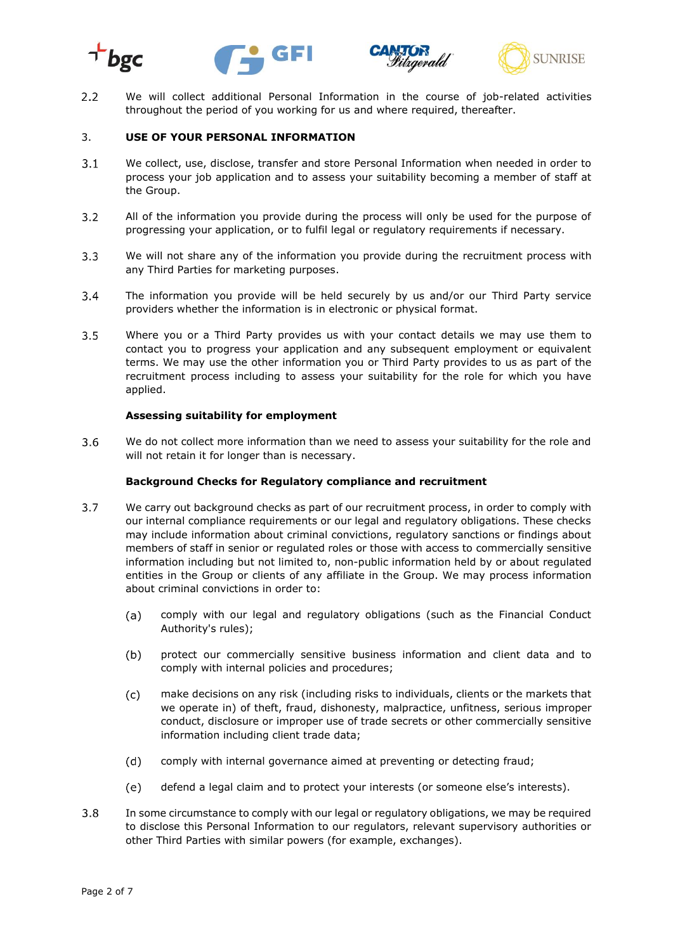





 $2.2$ We will collect additional Personal Information in the course of job-related activities throughout the period of you working for us and where required, thereafter.

## 3. **USE OF YOUR PERSONAL INFORMATION**

- $3.1$ We collect, use, disclose, transfer and store Personal Information when needed in order to process your job application and to assess your suitability becoming a member of staff at the Group.
- $3.2$ All of the information you provide during the process will only be used for the purpose of progressing your application, or to fulfil legal or regulatory requirements if necessary.
- $3.3$ We will not share any of the information you provide during the recruitment process with any Third Parties for marketing purposes.
- $3.4$ The information you provide will be held securely by us and/or our Third Party service providers whether the information is in electronic or physical format.
- $3.5$ Where you or a Third Party provides us with your contact details we may use them to contact you to progress your application and any subsequent employment or equivalent terms. We may use the other information you or Third Party provides to us as part of the recruitment process including to assess your suitability for the role for which you have applied.

#### **Assessing suitability for employment**

 $3.6$ We do not collect more information than we need to assess your suitability for the role and will not retain it for longer than is necessary.

#### **Background Checks for Regulatory compliance and recruitment**

- $3.7$ We carry out background checks as part of our recruitment process, in order to comply with our internal compliance requirements or our legal and regulatory obligations. These checks may include information about criminal convictions, regulatory sanctions or findings about members of staff in senior or regulated roles or those with access to commercially sensitive information including but not limited to, non-public information held by or about regulated entities in the Group or clients of any affiliate in the Group. We may process information about criminal convictions in order to:
	- comply with our legal and regulatory obligations (such as the Financial Conduct  $(a)$ Authority's rules);
	- $(b)$ protect our commercially sensitive business information and client data and to comply with internal policies and procedures;
	- $(c)$ make decisions on any risk (including risks to individuals, clients or the markets that we operate in) of theft, fraud, dishonesty, malpractice, unfitness, serious improper conduct, disclosure or improper use of trade secrets or other commercially sensitive information including client trade data;
	- $(d)$ comply with internal governance aimed at preventing or detecting fraud;
	- defend a legal claim and to protect your interests (or someone else's interests).  $(e)$
- $3.8$ In some circumstance to comply with our legal or regulatory obligations, we may be required to disclose this Personal Information to our regulators, relevant supervisory authorities or other Third Parties with similar powers (for example, exchanges).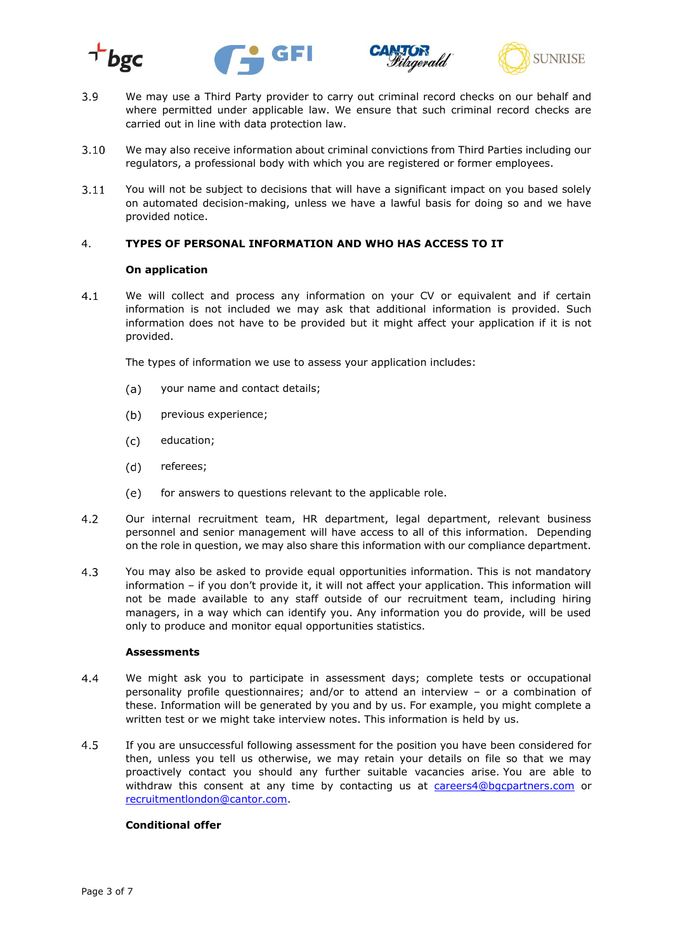







- 3.9 We may use a Third Party provider to carry out criminal record checks on our behalf and where permitted under applicable law. We ensure that such criminal record checks are carried out in line with data protection law.
- $3.10$ We may also receive information about criminal convictions from Third Parties including our regulators, a professional body with which you are registered or former employees.
- $3.11$ You will not be subject to decisions that will have a significant impact on you based solely on automated decision-making, unless we have a lawful basis for doing so and we have provided notice.

# 4. **TYPES OF PERSONAL INFORMATION AND WHO HAS ACCESS TO IT**

#### **On application**

 $4.1$ We will collect and process any information on your CV or equivalent and if certain information is not included we may ask that additional information is provided. Such information does not have to be provided but it might affect your application if it is not provided.

The types of information we use to assess your application includes:

- $(a)$ your name and contact details;
- $(b)$ previous experience;
- $(c)$ education;
- $(d)$ referees;
- $(e)$ for answers to questions relevant to the applicable role.
- $4.2$ Our internal recruitment team, HR department, legal department, relevant business personnel and senior management will have access to all of this information. Depending on the role in question, we may also share this information with our compliance department.
- $4.3$ You may also be asked to provide equal opportunities information. This is not mandatory information – if you don't provide it, it will not affect your application. This information will not be made available to any staff outside of our recruitment team, including hiring managers, in a way which can identify you. Any information you do provide, will be used only to produce and monitor equal opportunities statistics.

#### **Assessments**

- $4.4$ We might ask you to participate in assessment days; complete tests or occupational personality profile questionnaires; and/or to attend an interview – or a combination of these. Information will be generated by you and by us. For example, you might complete a written test or we might take interview notes. This information is held by us.
- 4.5 If you are unsuccessful following assessment for the position you have been considered for then, unless you tell us otherwise, we may retain your details on file so that we may proactively contact you should any further suitable vacancies arise. You are able to withdraw this consent at any time by contacting us at [careers4@bgcpartners.com](mailto:careers4@bgcpartners.com) or [recruitmentlondon@cantor.com.](mailto:recruitmentlondon@cantor.com)

### **Conditional offer**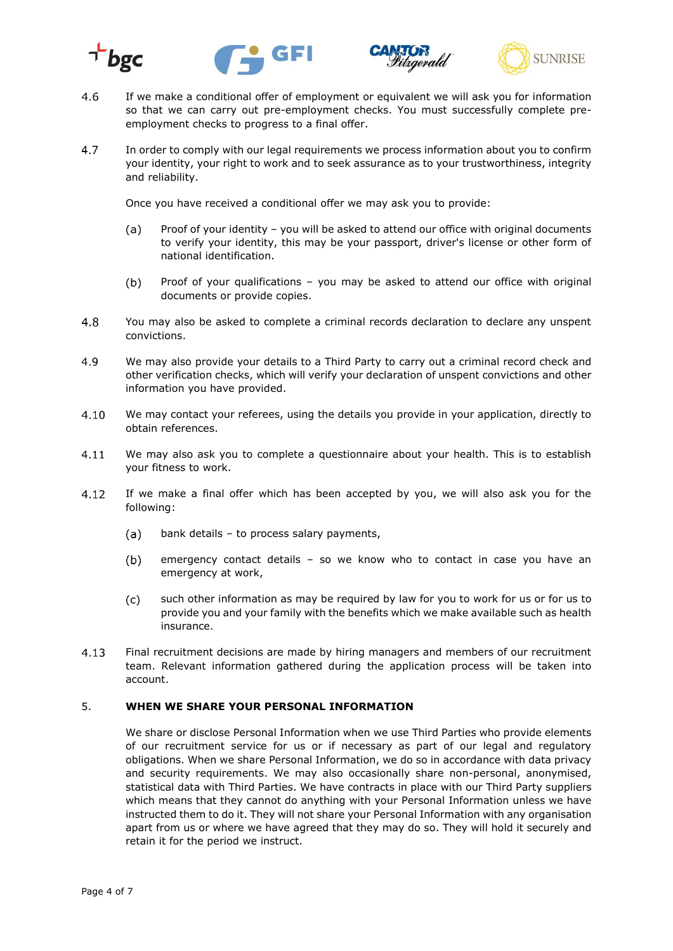







- If we make a conditional offer of employment or equivalent we will ask you for information 4.6 so that we can carry out pre-employment checks. You must successfully complete preemployment checks to progress to a final offer.
- In order to comply with our legal requirements we process information about you to confirm 4.7 your identity, your right to work and to seek assurance as to your trustworthiness, integrity and reliability.

Once you have received a conditional offer we may ask you to provide:

- $(a)$ Proof of your identity – you will be asked to attend our office with original documents to verify your identity, this may be your passport, driver's license or other form of national identification.
- Proof of your qualifications you may be asked to attend our office with original  $(b)$ documents or provide copies.
- 4.8 You may also be asked to complete a criminal records declaration to declare any unspent convictions.
- 4.9 We may also provide your details to a Third Party to carry out a criminal record check and other verification checks, which will verify your declaration of unspent convictions and other information you have provided.
- $4.10$ We may contact your referees, using the details you provide in your application, directly to obtain references.
- $4.11$ We may also ask you to complete a questionnaire about your health. This is to establish your fitness to work.
- 4.12 If we make a final offer which has been accepted by you, we will also ask you for the following:
	- $(a)$ bank details – to process salary payments,
	- $(b)$ emergency contact details – so we know who to contact in case you have an emergency at work,
	- $(c)$ such other information as may be required by law for you to work for us or for us to provide you and your family with the benefits which we make available such as health insurance.
- 4.13 Final recruitment decisions are made by hiring managers and members of our recruitment team. Relevant information gathered during the application process will be taken into account.

#### 5. **WHEN WE SHARE YOUR PERSONAL INFORMATION**

We share or disclose Personal Information when we use Third Parties who provide elements of our recruitment service for us or if necessary as part of our legal and regulatory obligations. When we share Personal Information, we do so in accordance with data privacy and security requirements. We may also occasionally share non-personal, anonymised, statistical data with Third Parties. We have contracts in place with our Third Party suppliers which means that they cannot do anything with your Personal Information unless we have instructed them to do it. They will not share your Personal Information with any organisation apart from us or where we have agreed that they may do so. They will hold it securely and retain it for the period we instruct.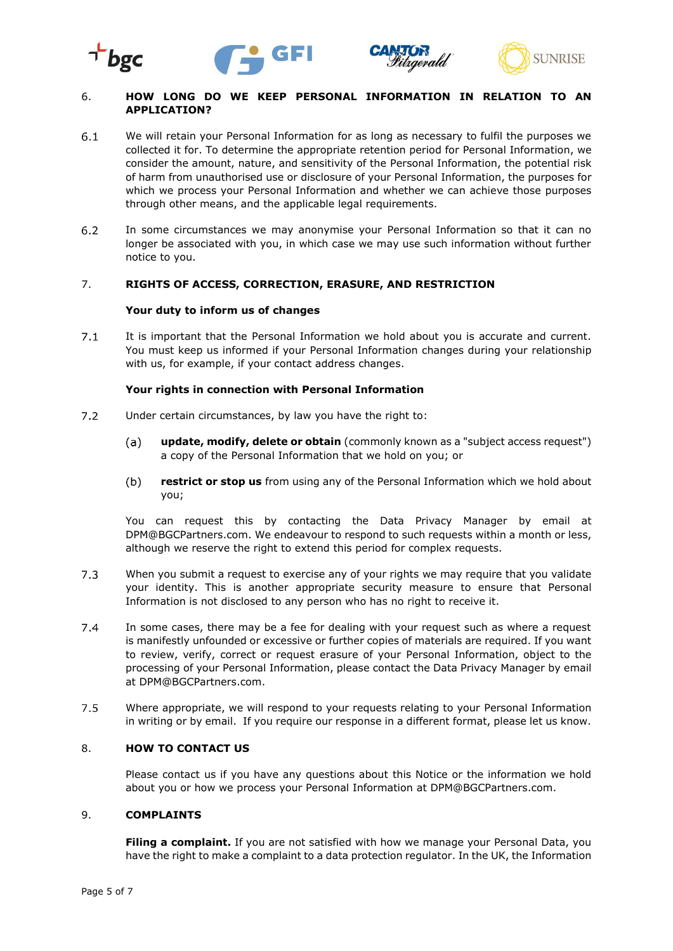





## 6. **HOW LONG DO WE KEEP PERSONAL INFORMATION IN RELATION TO AN APPLICATION?**

- $6.1$ We will retain your Personal Information for as long as necessary to fulfil the purposes we collected it for. To determine the appropriate retention period for Personal Information, we consider the amount, nature, and sensitivity of the Personal Information, the potential risk of harm from unauthorised use or disclosure of your Personal Information, the purposes for which we process your Personal Information and whether we can achieve those purposes through other means, and the applicable legal requirements.
- $6.2$ In some circumstances we may anonymise your Personal Information so that it can no longer be associated with you, in which case we may use such information without further notice to you.

#### 7. **RIGHTS OF ACCESS, CORRECTION, ERASURE, AND RESTRICTION**

#### **Your duty to inform us of changes**

 $7.1$ It is important that the Personal Information we hold about you is accurate and current. You must keep us informed if your Personal Information changes during your relationship with us, for example, if your contact address changes.

# **Your rights in connection with Personal Information**

- $7.2$ Under certain circumstances, by law you have the right to:
	- **update, modify, delete or obtain** (commonly known as a "subject access request")  $(a)$ a copy of the Personal Information that we hold on you; or
	- $(b)$ **restrict or stop us** from using any of the Personal Information which we hold about you;

You can request this by contacting the Data Privacy Manager by email at DPM@BGCPartners.com. We endeavour to respond to such requests within a month or less, although we reserve the right to extend this period for complex requests.

- $7.3$ When you submit a request to exercise any of your rights we may require that you validate your identity. This is another appropriate security measure to ensure that Personal Information is not disclosed to any person who has no right to receive it.
- $7.4$ In some cases, there may be a fee for dealing with your request such as where a request is manifestly unfounded or excessive or further copies of materials are required. If you want to review, verify, correct or request erasure of your Personal Information, object to the processing of your Personal Information, please contact the Data Privacy Manager by email at DPM@BGCPartners.com.
- $7.5$ Where appropriate, we will respond to your requests relating to your Personal Information in writing or by email. If you require our response in a different format, please let us know.

#### 8. **HOW TO CONTACT US**

Please contact us if you have any questions about this Notice or the information we hold about you or how we process your Personal Information at DPM@BGCPartners.com.

#### 9. **COMPLAINTS**

Filing a complaint. If you are not satisfied with how we manage your Personal Data, you have the right to make a complaint to a data protection regulator. In the UK, the Information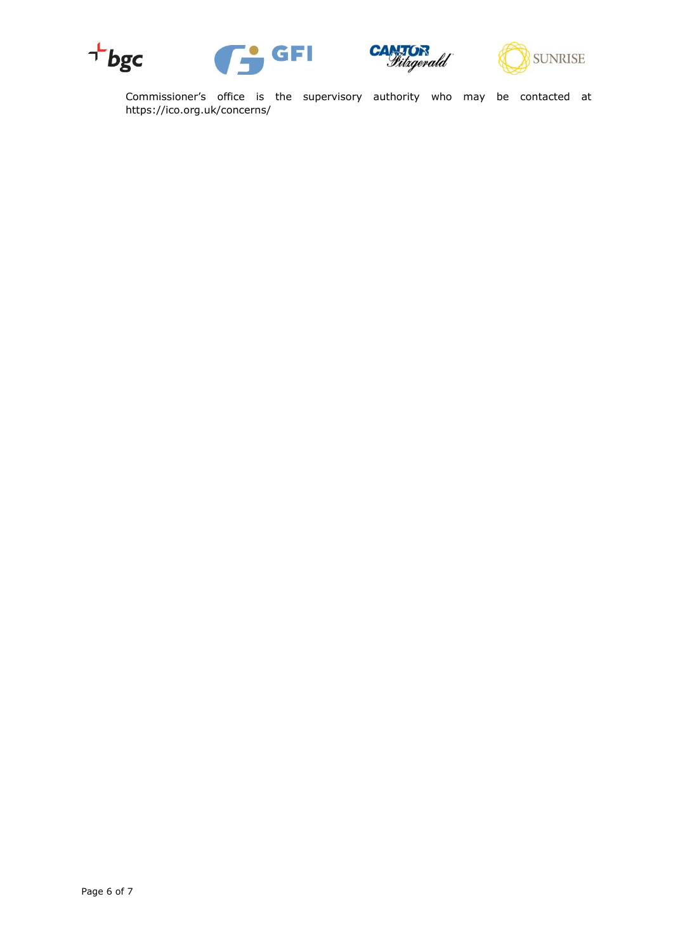







Commissioner's office is the supervisory authority who may be contacted at [https://ico.org.uk/concerns/](http://ico.org.uk/concerns/)